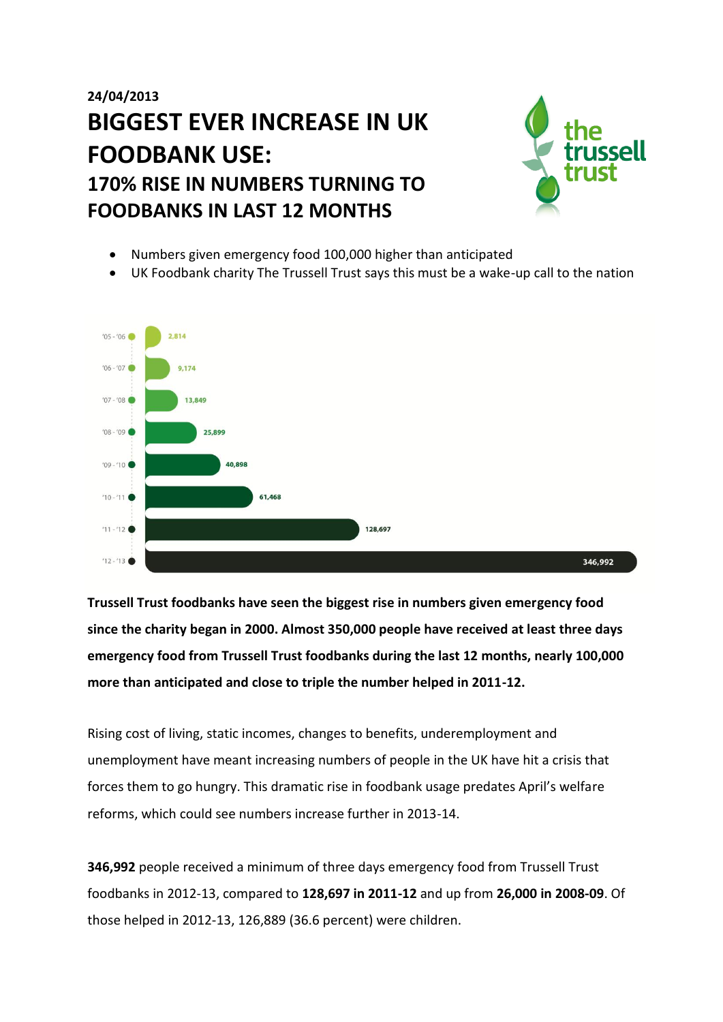# **24/04/2013 BIGGEST EVER INCREASE IN UK FOODBANK USE: 170% RISE IN NUMBERS TURNING TO FOODBANKS IN LAST 12 MONTHS**



- Numbers given emergency food 100,000 higher than anticipated
- UK Foodbank charity The Trussell Trust says this must be a wake-up call to the nation



**Trussell Trust foodbanks have seen the biggest rise in numbers given emergency food since the charity began in 2000. Almost 350,000 people have received at least three days emergency food from Trussell Trust foodbanks during the last 12 months, nearly 100,000 more than anticipated and close to triple the number helped in 2011-12.** 

Rising cost of living, static incomes, changes to benefits, underemployment and unemployment have meant increasing numbers of people in the UK have hit a crisis that forces them to go hungry. This dramatic rise in foodbank usage predates April's welfare reforms, which could see numbers increase further in 2013-14.

**346,992** people received a minimum of three days emergency food from Trussell Trust foodbanks in 2012-13, compared to **128,697 in 2011-12** and up from **26,000 in 2008-09**. Of those helped in 2012-13, 126,889 (36.6 percent) were children.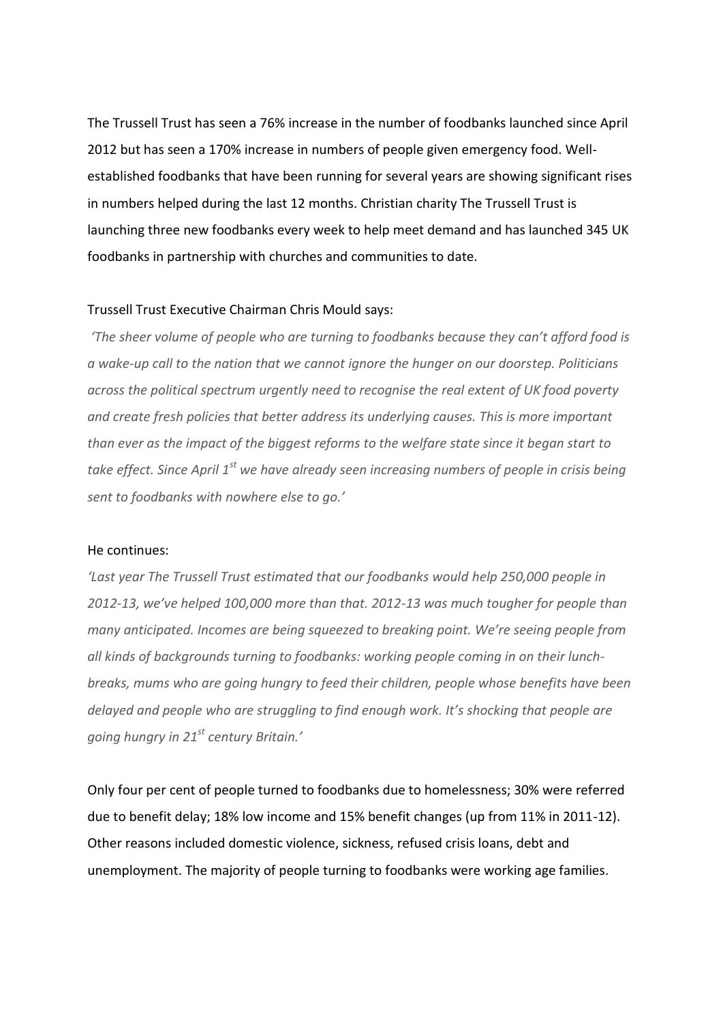The Trussell Trust has seen a 76% increase in the number of foodbanks launched since April 2012 but has seen a 170% increase in numbers of people given emergency food. Wellestablished foodbanks that have been running for several years are showing significant rises in numbers helped during the last 12 months. Christian charity The Trussell Trust is launching three new foodbanks every week to help meet demand and has launched 345 UK foodbanks in partnership with churches and communities to date.

### Trussell Trust Executive Chairman Chris Mould says:

*'The sheer volume of people who are turning to foodbanks because they can't afford food is a wake-up call to the nation that we cannot ignore the hunger on our doorstep. Politicians across the political spectrum urgently need to recognise the real extent of UK food poverty and create fresh policies that better address its underlying causes. This is more important than ever as the impact of the biggest reforms to the welfare state since it began start to take effect. Since April 1st we have already seen increasing numbers of people in crisis being sent to foodbanks with nowhere else to go.'*

#### He continues:

*'Last year The Trussell Trust estimated that our foodbanks would help 250,000 people in 2012-13, we've helped 100,000 more than that. 2012-13 was much tougher for people than many anticipated. Incomes are being squeezed to breaking point. We're seeing people from all kinds of backgrounds turning to foodbanks: working people coming in on their lunchbreaks, mums who are going hungry to feed their children, people whose benefits have been delayed and people who are struggling to find enough work. It's shocking that people are going hungry in 21st century Britain.'* 

Only four per cent of people turned to foodbanks due to homelessness; 30% were referred due to benefit delay; 18% low income and 15% benefit changes (up from 11% in 2011-12). Other reasons included domestic violence, sickness, refused crisis loans, debt and unemployment. The majority of people turning to foodbanks were working age families.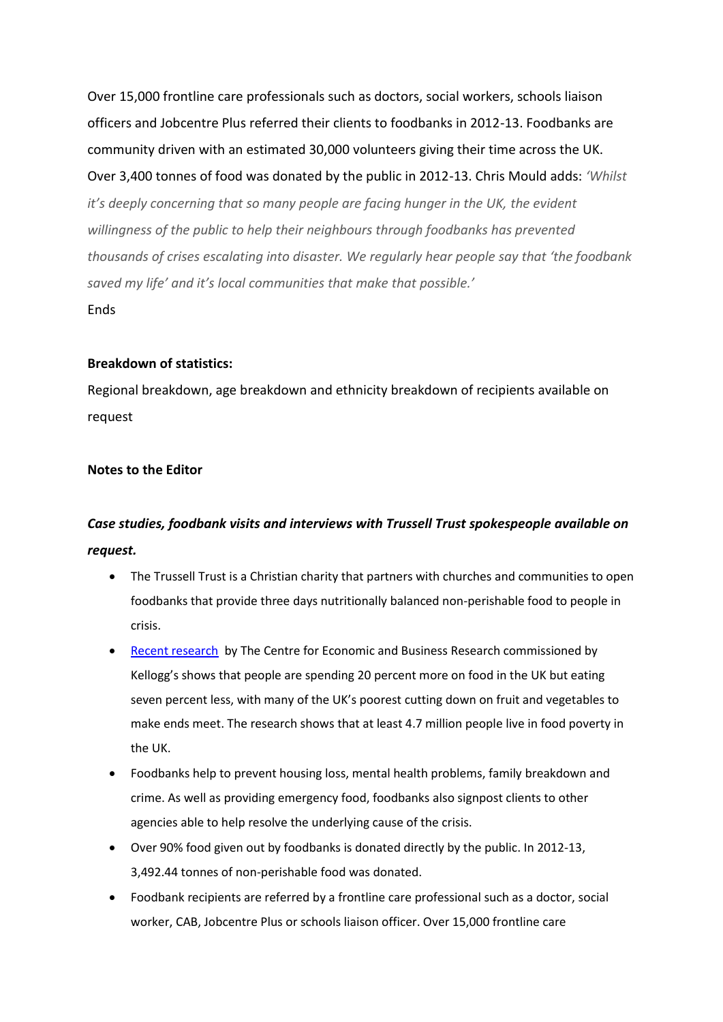Over 15,000 frontline care professionals such as doctors, social workers, schools liaison officers and Jobcentre Plus referred their clients to foodbanks in 2012-13. Foodbanks are community driven with an estimated 30,000 volunteers giving their time across the UK. Over 3,400 tonnes of food was donated by the public in 2012-13. Chris Mould adds: *'Whilst it's deeply concerning that so many people are facing hunger in the UK, the evident willingness of the public to help their neighbours through foodbanks has prevented thousands of crises escalating into disaster. We regularly hear people say that 'the foodbank saved my life' and it's local communities that make that possible.'* Ends

## **Breakdown of statistics:**

Regional breakdown, age breakdown and ethnicity breakdown of recipients available on request

# **Notes to the Editor**

# *Case studies, foodbank visits and interviews with Trussell Trust spokespeople available on request.*

- The Trussell Trust is a Christian charity that partners with churches and communities to open foodbanks that provide three days nutritionally balanced non-perishable food to people in crisis.
- [Recent research](http://pressoffice.kelloggs.co.uk/index.php?s=20295&item=122399) by The Centre for Economic and Business Research commissioned by Kellogg's shows that people are spending 20 percent more on food in the UK but eating seven percent less, with many of the UK's poorest cutting down on fruit and vegetables to make ends meet. The research shows that at least 4.7 million people live in food poverty in the UK.
- Foodbanks help to prevent housing loss, mental health problems, family breakdown and crime. As well as providing emergency food, foodbanks also signpost clients to other agencies able to help resolve the underlying cause of the crisis.
- Over 90% food given out by foodbanks is donated directly by the public. In 2012-13, 3,492.44 tonnes of non-perishable food was donated.
- Foodbank recipients are referred by a frontline care professional such as a doctor, social worker, CAB, Jobcentre Plus or schools liaison officer. Over 15,000 frontline care